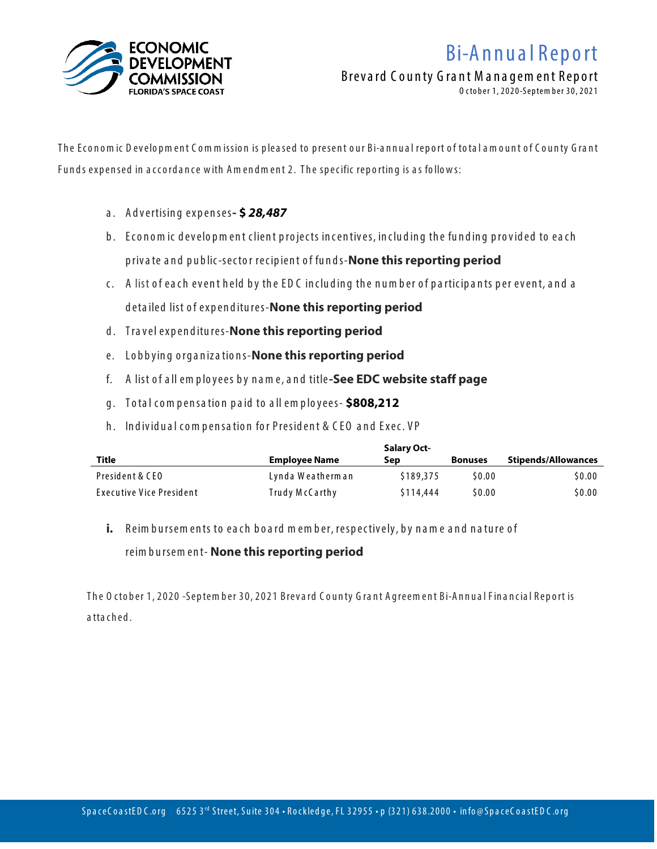

## B i-A n n u a l Rep o rt

Breva rd C o u nty G ra nt M a na gem ent Report

O cto ber 1, 2 02 0-Septem ber 30, 2 021

The Economic Development Commission is pleased to present our Bi-annual report of total amount of County Grant Funds expensed in accordance with Amendment 2. The specific reporting is as follows:

- a . A d vertisin g expenses**- \$** *28,487*
- b. Economic development client projects incentives, including the funding provided to each p riva te a n d p u b lic-secto r recip ien t o f fu n d s-**None this reporting period**
- c. A list of each event held by the EDC including the number of participants per event, and a deta iled list o f exp en d itu res-**None this reporting period**
- d . Tra vel exp en d itu res-**None this reporting period**
- e. Lobbying organizations-**None this reporting period**
- f. A list o f a ll em p lo yees b y n a m e, a n d title**-See EDC website staff page**
- g . To ta l c o m p en sa tio n p a id to a ll em p lo yees- **\$808,212**
- h. Individual compensation for President & CEO and Exec. VP

|                          |                      | <b>Salary Oct-</b> |                |                            |
|--------------------------|----------------------|--------------------|----------------|----------------------------|
| Title                    | <b>Employee Name</b> | Sep                | <b>Bonuses</b> | <b>Stipends/Allowances</b> |
| President & CEO          | Lynda Weatherman     | \$189,375          | \$0.00         | \$0.00                     |
| Executive Vice President | Trudy McCarthy       | \$114,444          | \$0.00         | \$0.00                     |

**i.** Reim bursem ents to each board member, respectively, by name and nature of

## reim b u rsem en t- **None this reporting period**

The 0 ctober 1, 2020 -Septem ber 30, 2021 Brevard County Grant Agreem ent Bi-Annual Financial Report is a tta ched.